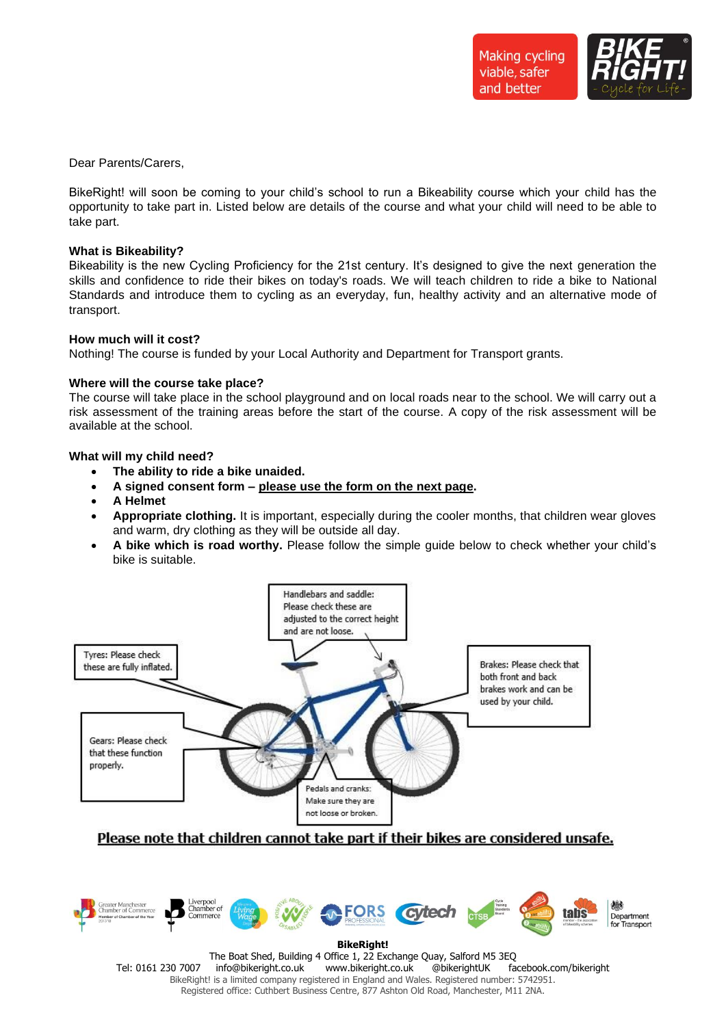

Dear Parents/Carers,

BikeRight! will soon be coming to your child's school to run a Bikeability course which your child has the opportunity to take part in. Listed below are details of the course and what your child will need to be able to take part.

#### **What is Bikeability?**

Bikeability is the new Cycling Proficiency for the 21st century. It's designed to give the next generation the skills and confidence to ride their bikes on today's roads. We will teach children to ride a bike to National Standards and introduce them to cycling as an everyday, fun, healthy activity and an alternative mode of transport.

## **How much will it cost?**

Nothing! The course is funded by your Local Authority and Department for Transport grants.

## **Where will the course take place?**

The course will take place in the school playground and on local roads near to the school. We will carry out a risk assessment of the training areas before the start of the course. A copy of the risk assessment will be available at the school.

## **What will my child need?**

- **The ability to ride a bike unaided.**
- **A signed consent form – please use the form on the next page.**
- **A Helmet**
- **Appropriate clothing.** It is important, especially during the cooler months, that children wear gloves and warm, dry clothing as they will be outside all day.
- **A bike which is road worthy.** Please follow the simple guide below to check whether your child's bike is suitable.



# Please note that children cannot take part if their bikes are considered unsafe.



The Boat Shed, Building 4 Office 1, 22 Exchange Quay, Salford M5 3EQ Tel: 0161 230 7007 info@bikeright.co.uk www.bikeright.co.uk @bikerightUK facebook.com/bikeright BikeRight! is a limited company registered in England and Wales. Registered number: 5742951. Registered office: Cuthbert Business Centre, 877 Ashton Old Road, Manchester, M11 2NA.